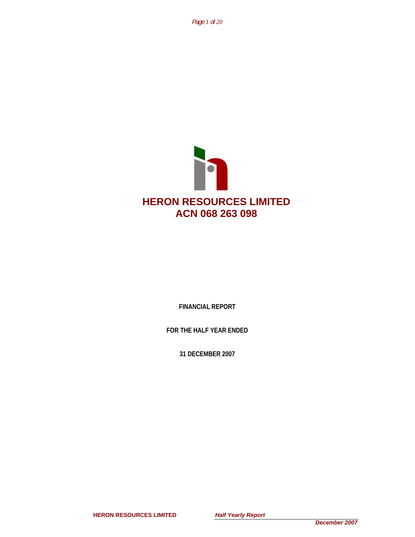*Page 1 of 20*



**FINANCIAL REPORT** 

**FOR THE HALF YEAR ENDED** 

**31 DECEMBER 2007** 

**HERON RESOURCES LIMITED** *Half Yearly Report*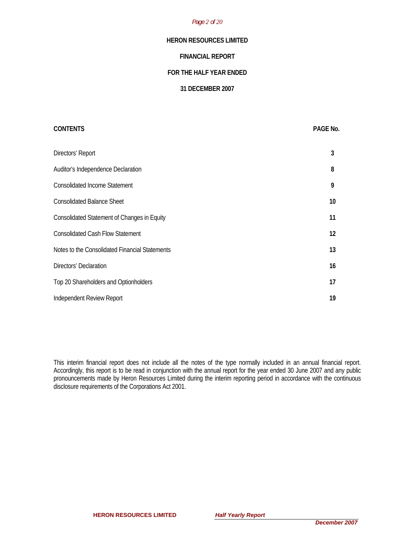### *Page 2 of 20*

# **HERON RESOURCES LIMITED**

# **FINANCIAL REPORT**

# **FOR THE HALF YEAR ENDED**

# **31 DECEMBER 2007**

| <b>CONTENTS</b>                                    | PAGE No. |
|----------------------------------------------------|----------|
| Directors' Report                                  | 3        |
| Auditor's Independence Declaration                 | 8        |
| <b>Consolidated Income Statement</b>               | 9        |
| <b>Consolidated Balance Sheet</b>                  | 10       |
| <b>Consolidated Statement of Changes in Equity</b> | 11       |
| <b>Consolidated Cash Flow Statement</b>            | 12       |
| Notes to the Consolidated Financial Statements     | 13       |
| Directors' Declaration                             | 16       |
| Top 20 Shareholders and Optionholders              | 17       |
| Independent Review Report                          | 19       |

This interim financial report does not include all the notes of the type normally included in an annual financial report. Accordingly, this report is to be read in conjunction with the annual report for the year ended 30 June 2007 and any public pronouncements made by Heron Resources Limited during the interim reporting period in accordance with the continuous disclosure requirements of the Corporations Act 2001.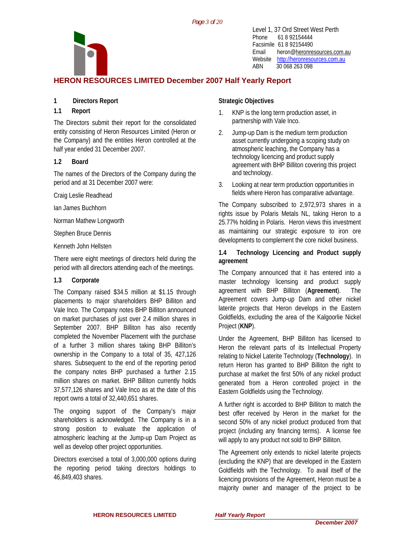*Page 3 of 20*



Level 1, 37 Ord Street West Perth Phone 61 8 92154444 Facsimile 61 8 92154490 Email heron@heronresources.com.au Website http://heronresources.com.au ABN 30 068 263 098

# **HERON RESOURCES LIMITED December 2007 Half Yearly Report**

# **1 Directors Report**

# **1.1 Report**

The Directors submit their report for the consolidated entity consisting of Heron Resources Limited (Heron or the Company) and the entities Heron controlled at the half year ended 31 December 2007.

# **1.2 Board**

The names of the Directors of the Company during the period and at 31 December 2007 were:

Craig Leslie Readhead

Ian James Buchhorn

Norman Mathew Longworth

Stephen Bruce Dennis

Kenneth John Hellsten

There were eight meetings of directors held during the period with all directors attending each of the meetings.

# **1.3 Corporate**

The Company raised \$34.5 million at \$1.15 through placements to major shareholders BHP Billiton and Vale Inco. The Company notes BHP Billiton announced on market purchases of just over 2.4 million shares in September 2007. BHP Billiton has also recently completed the November Placement with the purchase of a further 3 million shares taking BHP Billiton's ownership in the Company to a total of 35, 427,126 shares. Subsequent to the end of the reporting period the company notes BHP purchased a further 2.15 million shares on market. BHP Billiton currently holds 37,577,126 shares and Vale Inco as at the date of this report owns a total of 32,440,651 shares.

The ongoing support of the Company's major shareholders is acknowledged. The Company is in a strong position to evaluate the application of atmospheric leaching at the Jump-up Dam Project as well as develop other project opportunities.

Directors exercised a total of 3,000,000 options during the reporting period taking directors holdings to 46,849,403 shares.

# **Strategic Objectives**

- 1. KNP is the long term production asset, in partnership with Vale Inco.
- 2. Jump-up Dam is the medium term production asset currently undergoing a scoping study on atmospheric leaching, the Company has a technology licencing and product supply agreement with BHP Billiton covering this project and technology.
- 3. Looking at near term production opportunities in fields where Heron has comparative advantage.

The Company subscribed to 2,972,973 shares in a rights issue by Polaris Metals NL, taking Heron to a 25.77% holding in Polaris. Heron views this investment as maintaining our strategic exposure to iron ore developments to complement the core nickel business.

# **1.4 Technology Licencing and Product supply agreement**

The Company announced that it has entered into a master technology licensing and product supply agreement with BHP Billiton (**Agreement**). The Agreement covers Jump-up Dam and other nickel laterite projects that Heron develops in the Eastern Goldfields, excluding the area of the Kalgoorlie Nickel Project (**KNP**).

Under the Agreement, BHP Billiton has licensed to Heron the relevant parts of its Intellectual Property relating to Nickel Laterite Technology (**Technology**). In return Heron has granted to BHP Billiton the right to purchase at market the first 50% of any nickel product generated from a Heron controlled project in the Eastern Goldfields using the Technology.

A further right is accorded to BHP Billiton to match the best offer received by Heron in the market for the second 50% of any nickel product produced from that project (including any financing terms). A license fee will apply to any product not sold to BHP Billiton.

The Agreement only extends to nickel laterite projects (excluding the KNP) that are developed in the Eastern Goldfields with the Technology. To avail itself of the licencing provisions of the Agreement, Heron must be a majority owner and manager of the project to be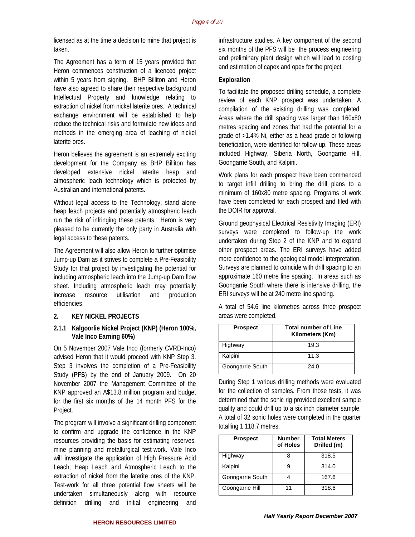licensed as at the time a decision to mine that project is taken.

The Agreement has a term of 15 years provided that Heron commences construction of a licenced project within 5 years from signing. BHP Billiton and Heron have also agreed to share their respective background Intellectual Property and knowledge relating to extraction of nickel from nickel laterite ores. A technical exchange environment will be established to help reduce the technical risks and formulate new ideas and methods in the emerging area of leaching of nickel laterite ores.

Heron believes the agreement is an extremely exciting development for the Company as BHP Billiton has developed extensive nickel laterite heap and atmospheric leach technology which is protected by Australian and international patents.

Without legal access to the Technology, stand alone heap leach projects and potentially atmospheric leach run the risk of infringing these patents. Heron is very pleased to be currently the only party in Australia with legal access to these patents.

The Agreement will also allow Heron to further optimise Jump-up Dam as it strives to complete a Pre-Feasibility Study for that project by investigating the potential for including atmospheric leach into the Jump-up Dam flow sheet. Including atmospheric leach may potentially increase resource utilisation and production efficiencies.

#### **2. KEY NICKEL PROJECTS**

#### **2.1.1 Kalgoorlie Nickel Project (KNP) (Heron 100%, Vale Inco Earning 60%)**

On 5 November 2007 Vale Inco (formerly CVRD-Inco) advised Heron that it would proceed with KNP Step 3. Step 3 involves the completion of a Pre-Feasibility Study (**PFS**) by the end of January 2009. On 20 November 2007 the Management Committee of the KNP approved an A\$13.8 million program and budget for the first six months of the 14 month PFS for the Project.

The program will involve a significant drilling component to confirm and upgrade the confidence in the KNP resources providing the basis for estimating reserves, mine planning and metallurgical test-work. Vale Inco will investigate the application of High Pressure Acid Leach, Heap Leach and Atmospheric Leach to the extraction of nickel from the laterite ores of the KNP. Test-work for all three potential flow sheets will be undertaken simultaneously along with resource definition drilling and initial engineering and

infrastructure studies. A key component of the second six months of the PFS will be the process engineering and preliminary plant design which will lead to costing and estimation of capex and opex for the project.

#### **Exploration**

To facilitate the proposed drilling schedule, a complete review of each KNP prospect was undertaken. A compilation of the existing drilling was completed. Areas where the drill spacing was larger than 160x80 metres spacing and zones that had the potential for a grade of >1.4% Ni, either as a head grade or following beneficiation, were identified for follow-up. These areas included Highway, Siberia North, Goongarrie Hill, Goongarrie South, and Kalpini.

Work plans for each prospect have been commenced to target infill drilling to bring the drill plans to a minimum of 160x80 metre spacing. Programs of work have been completed for each prospect and filed with the DOIR for approval.

Ground geophysical Electrical Resistivity Imaging (ERI) surveys were completed to follow-up the work undertaken during Step 2 of the KNP and to expand other prospect areas. The ERI surveys have added more confidence to the geological model interpretation. Surveys are planned to coincide with drill spacing to an approximate 160 metre line spacing. In areas such as Goongarrie South where there is intensive drilling, the ERI surveys will be at 240 metre line spacing.

A total of 54.6 line kilometres across three prospect areas were completed.

| <b>Prospect</b>  | <b>Total number of Line</b><br>Kilometers (Km) |
|------------------|------------------------------------------------|
| Highway          | 19.3                                           |
| Kalpini          | 11.3                                           |
| Goongarrie South | 24.0                                           |

During Step 1 various drilling methods were evaluated for the collection of samples. From those tests, it was determined that the sonic rig provided excellent sample quality and could drill up to a six inch diameter sample. A total of 32 sonic holes were completed in the quarter totalling 1,118.7 metres.

| <b>Prospect</b>  | <b>Number</b><br>of Holes | <b>Total Meters</b><br>Drilled (m) |
|------------------|---------------------------|------------------------------------|
| Highway          |                           | 318.5                              |
| Kalpini          |                           | 314.0                              |
| Goongarrie South |                           | 167.6                              |
| Goongarrie Hill  | 11                        | 318.6                              |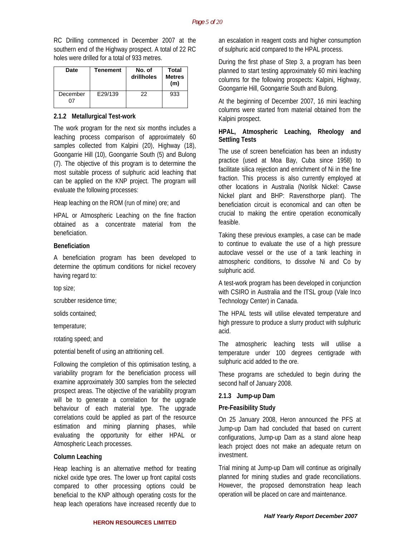RC Drilling commenced in December 2007 at the southern end of the Highway prospect. A total of 22 RC holes were drilled for a total of 933 metres.

| <b>Date</b> | <b>Tenement</b> | No. of<br>drillholes | Total<br><b>Metres</b><br>(m) |
|-------------|-----------------|----------------------|-------------------------------|
| December    | E29/139         | 22                   | 933                           |

#### **2.1.2 Metallurgical Test-work**

The work program for the next six months includes a leaching process comparison of approximately 60 samples collected from Kalpini (20), Highway (18), Goongarrie Hill (10), Goongarrie South (5) and Bulong (7). The objective of this program is to determine the most suitable process of sulphuric acid leaching that can be applied on the KNP project. The program will evaluate the following processes:

Heap leaching on the ROM (run of mine) ore; and

HPAL or Atmospheric Leaching on the fine fraction obtained as a concentrate material from the beneficiation.

#### **Beneficiation**

A beneficiation program has been developed to determine the optimum conditions for nickel recovery having regard to:

top size;

scrubber residence time;

solids contained;

temperature;

rotating speed; and

potential benefit of using an attritioning cell.

Following the completion of this optimisation testing, a variability program for the beneficiation process will examine approximately 300 samples from the selected prospect areas. The objective of the variability program will be to generate a correlation for the upgrade behaviour of each material type. The upgrade correlations could be applied as part of the resource estimation and mining planning phases, while evaluating the opportunity for either HPAL or Atmospheric Leach processes.

#### **Column Leaching**

Heap leaching is an alternative method for treating nickel oxide type ores. The lower up front capital costs compared to other processing options could be beneficial to the KNP although operating costs for the heap leach operations have increased recently due to

an escalation in reagent costs and higher consumption of sulphuric acid compared to the HPAL process.

During the first phase of Step 3, a program has been planned to start testing approximately 60 mini leaching columns for the following prospects: Kalpini, Highway, Goongarrie Hill, Goongarrie South and Bulong.

At the beginning of December 2007, 16 mini leaching columns were started from material obtained from the Kalpini prospect.

# **HPAL, Atmospheric Leaching, Rheology and Settling Tests**

The use of screen beneficiation has been an industry practice (used at Moa Bay, Cuba since 1958) to facilitate silica rejection and enrichment of Ni in the fine fraction. This process is also currently employed at other locations in Australia (Norilsk Nickel: Cawse Nickel plant and BHP: Ravensthorpe plant). The beneficiation circuit is economical and can often be crucial to making the entire operation economically feasible.

Taking these previous examples, a case can be made to continue to evaluate the use of a high pressure autoclave vessel or the use of a tank leaching in atmospheric conditions, to dissolve Ni and Co by sulphuric acid.

A test-work program has been developed in conjunction with CSIRO in Australia and the ITSL group (Vale Inco Technology Center) in Canada.

The HPAL tests will utilise elevated temperature and high pressure to produce a slurry product with sulphuric acid.

The atmospheric leaching tests will utilise a temperature under 100 degrees centigrade with sulphuric acid added to the ore.

These programs are scheduled to begin during the second half of January 2008.

#### **2.1.3 Jump-up Dam**

#### **Pre-Feasibility Study**

On 25 January 2008, Heron announced the PFS at Jump-up Dam had concluded that based on current configurations, Jump-up Dam as a stand alone heap leach project does not make an adequate return on investment.

Trial mining at Jump-up Dam will continue as originally planned for mining studies and grade reconciliations. However, the proposed demonstration heap leach operation will be placed on care and maintenance.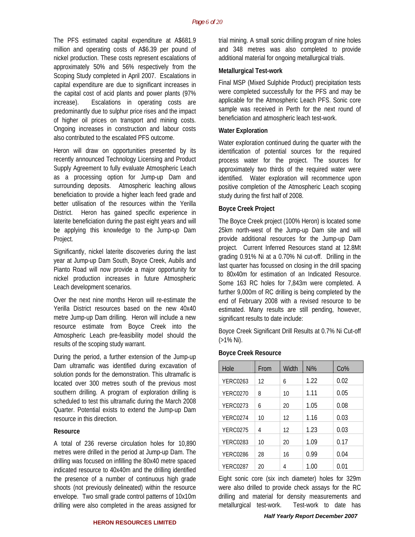The PFS estimated capital expenditure at A\$681.9 million and operating costs of A\$6.39 per pound of nickel production. These costs represent escalations of approximately 50% and 56% respectively from the Scoping Study completed in April 2007. Escalations in capital expenditure are due to significant increases in the capital cost of acid plants and power plants (97% increase). Escalations in operating costs are predominantly due to sulphur price rises and the impact of higher oil prices on transport and mining costs. Ongoing increases in construction and labour costs also contributed to the escalated PFS outcome.

Heron will draw on opportunities presented by its recently announced Technology Licensing and Product Supply Agreement to fully evaluate Atmospheric Leach as a processing option for Jump-up Dam and surrounding deposits. Atmospheric leaching allows beneficiation to provide a higher leach feed grade and better utilisation of the resources within the Yerilla District. Heron has gained specific experience in laterite beneficiation during the past eight years and will be applying this knowledge to the Jump-up Dam Project.

Significantly, nickel laterite discoveries during the last year at Jump-up Dam South, Boyce Creek, Aubils and Pianto Road will now provide a major opportunity for nickel production increases in future Atmospheric Leach development scenarios.

Over the next nine months Heron will re-estimate the Yerilla District resources based on the new 40x40 metre Jump-up Dam drilling. Heron will include a new resource estimate from Boyce Creek into the Atmospheric Leach pre-feasibility model should the results of the scoping study warrant.

During the period, a further extension of the Jump-up Dam ultramafic was identified during excavation of solution ponds for the demonstration. This ultramafic is located over 300 metres south of the previous most southern drilling. A program of exploration drilling is scheduled to test this ultramafic during the March 2008 Quarter. Potential exists to extend the Jump-up Dam resource in this direction.

#### **Resource**

A total of 236 reverse circulation holes for 10,890 metres were drilled in the period at Jump-up Dam. The drilling was focused on infilling the 80x40 metre spaced indicated resource to 40x40m and the drilling identified the presence of a number of continuous high grade shoots (not previously delineated) within the resource envelope. Two small grade control patterns of 10x10m drilling were also completed in the areas assigned for trial mining. A small sonic drilling program of nine holes and 348 metres was also completed to provide additional material for ongoing metallurgical trials.

#### **Metallurgical Test-work**

Final MSP (Mixed Sulphide Product) precipitation tests were completed successfully for the PFS and may be applicable for the Atmospheric Leach PFS. Sonic core sample was received in Perth for the next round of beneficiation and atmospheric leach test-work.

#### **Water Exploration**

Water exploration continued during the quarter with the identification of potential sources for the required process water for the project. The sources for approximately two thirds of the required water were identified. Water exploration will recommence upon positive completion of the Atmospheric Leach scoping study during the first half of 2008.

#### **Boyce Creek Project**

The Boyce Creek project (100% Heron) is located some 25km north-west of the Jump-up Dam site and will provide additional resources for the Jump-up Dam project. Current Inferred Resources stand at 12.8Mt grading 0.91% Ni at a 0.70% Ni cut-off. Drilling in the last quarter has focussed on closing in the drill spacing to 80x40m for estimation of an Indicated Resource. Some 163 RC holes for 7,843m were completed. A further 9,000m of RC drilling is being completed by the end of February 2008 with a revised resource to be estimated. Many results are still pending, however, significant results to date include:

Boyce Creek Significant Drill Results at 0.7% Ni Cut-off (>1% Ni).

| Hole            | From | Width | Ni%  | Co%  |
|-----------------|------|-------|------|------|
| <b>YERC0263</b> | 12   | 6     | 1.22 | 0.02 |
| <b>YERC0270</b> | 8    | 10    | 1.11 | 0.05 |
| <b>YERC0273</b> | 6    | 20    | 1.05 | 0.08 |
| <b>YERC0274</b> | 10   | 12    | 1.16 | 0.03 |
| <b>YERC0275</b> | 4    | 12    | 1.23 | 0.03 |
| <b>YERC0283</b> | 10   | 20    | 1.09 | 0.17 |
| <b>YERC0286</b> | 28   | 16    | 0.99 | 0.04 |
| <b>YERC0287</b> | 20   | 4     | 1.00 | 0.01 |

Eight sonic core (six inch diameter) holes for 329m were also drilled to provide check assays for the RC drilling and material for density measurements and metallurgical test-work. Test-work to date has

#### **Boyce Creek Resource**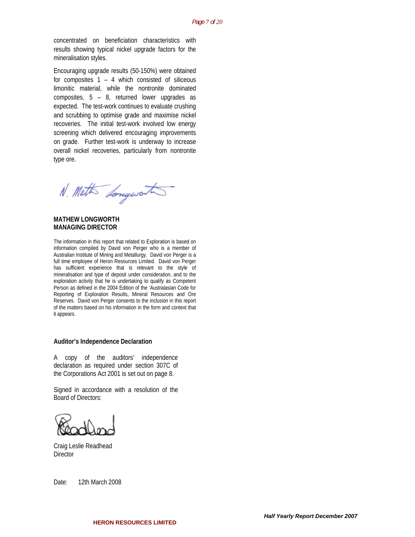concentrated on beneficiation characteristics with results showing typical nickel upgrade factors for the mineralisation styles.

Encouraging upgrade results (50-150%) were obtained for composites 1 – 4 which consisted of siliceous limonitic material, while the nontronite dominated composites, 5 – 8, returned lower upgrades as expected. The test-work continues to evaluate crushing and scrubbing to optimise grade and maximise nickel recoveries. The initial test-work involved low energy screening which delivered encouraging improvements on grade. Further test-work is underway to increase overall nickel recoveries, particularly from nontronite type ore.

N. Math Longworth

**MATHEW LONGWORTH MANAGING DIRECTOR** 

The information in this report that related to Exploration is based on information compiled by David von Perger who is a member of Australian Institute of Mining and Metallurgy. David von Perger is a full time employee of Heron Resources Limited. David von Perger has sufficient experience that is relevant to the style of mineralisation and type of deposit under consideration, and to the exploration activity that he is undertaking to qualify as Competent Person as defined in the 2004 Edition of the 'Australasian Code for Reporting of Exploration Results, Mineral Resources and Ore Reserves. David von Perger consents to the inclusion in this report of the matters based on his information in the form and context that it appears.

#### **Auditor's Independence Declaration**

A copy of the auditors' independence declaration as required under section 307C of the Corporations Act 2001 is set out on page 8.

Signed in accordance with a resolution of the Board of Directors:

Craig Leslie Readhead **Director** 

Date: 12th March 2008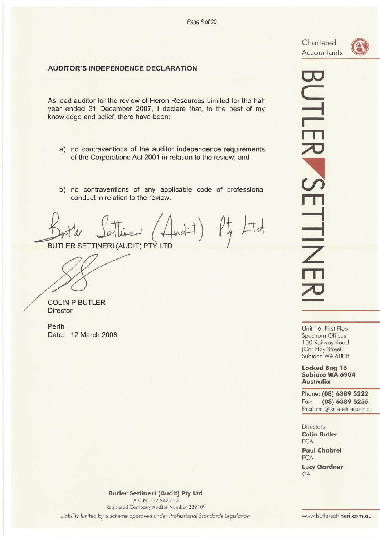Chartered **Accountants** 

# **AUDITOR'S INDEPENDENCE DECLARATION**

As lead auditor for the review of Heron Resources Limited for the half year ended 31 December 2007, I declare that, to the best of my knowledge and belief, there have been:

- a) no contraventions of the auditor independence requirements of the Corporations Act 2001 in relation to the review; and
- b) no contraventions of any applicable code of professional conduct in relation to the review.

(findit) Pty Ltd

**BUTLER SETTINERI (AUDIT) PTY LTD** 

**COLIN P BUTLER Director** 

Perth Date: 12 March 2008 **UTLER SETTINE** 

Unit 16, First Floor Spectrum Offices 100 Railway Road (Cnr Hay Street) Subiaco WA 6008

#### **Locked Bag 18** Subiaco WA 6904 **Australia**

Phone: (08) 6389 5222 (08) 6389 5255 Fax: Email: mail@butlersettineri.com.au

Directors: **Colin Butler FCA Paul Chabrel** FCA

**Lucy Gardner** CA

**Butler Settineri (Audit) Pty Ltd** A.C.N. 112 942 373 Registered Company Auditor Number 289109 Liability limited by a scheme approved under Professional Standards Legislation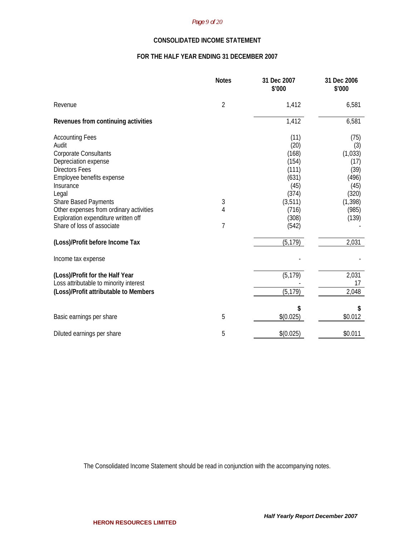#### *Page 9 of 20*

# **CONSOLIDATED INCOME STATEMENT**

# **FOR THE HALF YEAR ENDING 31 DECEMBER 2007**

|                                                                                                                                                                                                                                                                                                                    | <b>Notes</b>   | 31 Dec 2007<br>\$'000                                                                                    | 31 Dec 2006<br>\$'000                                                                          |
|--------------------------------------------------------------------------------------------------------------------------------------------------------------------------------------------------------------------------------------------------------------------------------------------------------------------|----------------|----------------------------------------------------------------------------------------------------------|------------------------------------------------------------------------------------------------|
| Revenue                                                                                                                                                                                                                                                                                                            | $\overline{2}$ | 1,412                                                                                                    | 6,581                                                                                          |
| Revenues from continuing activities                                                                                                                                                                                                                                                                                |                | 1,412                                                                                                    | 6,581                                                                                          |
| <b>Accounting Fees</b><br>Audit<br><b>Corporate Consultants</b><br>Depreciation expense<br><b>Directors Fees</b><br>Employee benefits expense<br>Insurance<br>Legal<br><b>Share Based Payments</b><br>Other expenses from ordinary activities<br>Exploration expenditure written off<br>Share of loss of associate | 3<br>4<br>7    | (11)<br>(20)<br>(168)<br>(154)<br>(111)<br>(631)<br>(45)<br>(374)<br>(3, 511)<br>(716)<br>(308)<br>(542) | (75)<br>(3)<br>(1,033)<br>(17)<br>(39)<br>(496)<br>(45)<br>(320)<br>(1, 398)<br>(985)<br>(139) |
| (Loss)/Profit before Income Tax                                                                                                                                                                                                                                                                                    |                | (5, 179)                                                                                                 | 2,031                                                                                          |
| Income tax expense                                                                                                                                                                                                                                                                                                 |                |                                                                                                          |                                                                                                |
| (Loss)/Profit for the Half Year<br>Loss attributable to minority interest<br>(Loss)/Profit attributable to Members                                                                                                                                                                                                 |                | (5, 179)<br>(5, 179)                                                                                     | 2,031<br>17<br>2,048                                                                           |
| Basic earnings per share                                                                                                                                                                                                                                                                                           | 5              | \$<br>\$(0.025)                                                                                          | S<br>\$0.012                                                                                   |
| Diluted earnings per share                                                                                                                                                                                                                                                                                         | 5              | \$(0.025)                                                                                                | \$0.011                                                                                        |

The Consolidated Income Statement should be read in conjunction with the accompanying notes.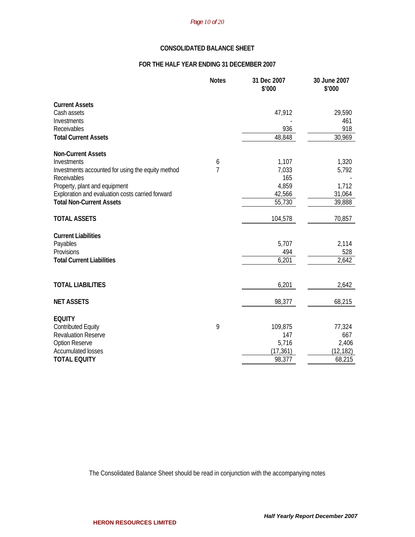# *Page 10 of 20*

# **CONSOLIDATED BALANCE SHEET**

# **FOR THE HALF YEAR ENDING 31 DECEMBER 2007**

|                                                   | <b>Notes</b>   | 31 Dec 2007<br>\$'000 | 30 June 2007<br>\$'000 |
|---------------------------------------------------|----------------|-----------------------|------------------------|
| <b>Current Assets</b>                             |                |                       |                        |
| Cash assets                                       |                | 47,912                | 29,590                 |
| Investments                                       |                |                       | 461                    |
| Receivables                                       |                | 936                   | 918                    |
| <b>Total Current Assets</b>                       |                | 48,848                | 30,969                 |
| <b>Non-Current Assets</b>                         |                |                       |                        |
| Investments                                       | 6              | 1,107                 | 1,320                  |
| Investments accounted for using the equity method | $\overline{7}$ | 7,033                 | 5,792                  |
| Receivables                                       |                | 165                   |                        |
| Property, plant and equipment                     |                | 4,859                 | 1,712                  |
| Exploration and evaluation costs carried forward  |                | 42,566                | 31,064                 |
| <b>Total Non-Current Assets</b>                   |                | 55,730                | 39,888                 |
| <b>TOTAL ASSETS</b>                               |                | 104,578               | 70,857                 |
| <b>Current Liabilities</b>                        |                |                       |                        |
| Payables                                          |                | 5,707                 | 2,114                  |
| Provisions                                        |                | 494                   | 528                    |
| <b>Total Current Liabilities</b>                  |                | 6,201                 | 2,642                  |
|                                                   |                |                       |                        |
| <b>TOTAL LIABILITIES</b>                          |                | 6,201                 | 2,642                  |
| <b>NET ASSETS</b>                                 |                | 98,377                | 68,215                 |
| <b>EQUITY</b>                                     |                |                       |                        |
| <b>Contributed Equity</b>                         | 9              | 109,875               | 77,324                 |
| <b>Revaluation Reserve</b>                        |                | 147                   | 667                    |
| <b>Option Reserve</b>                             |                | 5,716                 | 2,406                  |
| <b>Accumulated losses</b>                         |                | (17, 361)             | (12, 182)              |
| <b>TOTAL EQUITY</b>                               |                | 98,377                | 68,215                 |

The Consolidated Balance Sheet should be read in conjunction with the accompanying notes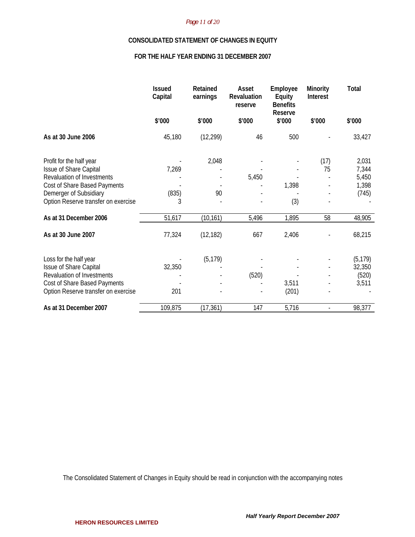#### *Page 11 of 20*

#### **CONSOLIDATED STATEMENT OF CHANGES IN EQUITY**

# **FOR THE HALF YEAR ENDING 31 DECEMBER 2007**

|                                                        | <b>Issued</b><br>Capital | Retained<br>earnings | Asset<br>Revaluation<br>reserve | Employee<br>Equity<br><b>Benefits</b><br>Reserve | Minority<br><b>Interest</b> | <b>Total</b>   |
|--------------------------------------------------------|--------------------------|----------------------|---------------------------------|--------------------------------------------------|-----------------------------|----------------|
|                                                        | \$'000                   | \$'000               | \$'000                          | \$'000                                           | \$'000                      | \$'000         |
| As at 30 June 2006                                     | 45,180                   | (12, 299)            | 46                              | 500                                              |                             | 33,427         |
| Profit for the half year                               |                          | 2,048                |                                 |                                                  | (17)                        | 2,031          |
| Issue of Share Capital                                 | 7,269                    |                      |                                 |                                                  | 75                          | 7,344          |
| Revaluation of Investments                             |                          |                      | 5,450                           |                                                  |                             | 5,450          |
| Cost of Share Based Payments<br>Demerger of Subsidiary | (835)                    | 90                   |                                 | 1,398                                            |                             | 1,398<br>(745) |
| Option Reserve transfer on exercise                    | 3                        |                      |                                 | (3)                                              |                             |                |
| As at 31 December 2006                                 | 51,617                   | (10, 161)            | 5,496                           | 1,895                                            | 58                          | 48,905         |
| As at 30 June 2007                                     | 77,324                   | (12, 182)            | 667                             | 2,406                                            |                             | 68,215         |
| Loss for the half year                                 |                          | (5, 179)             |                                 |                                                  |                             | (5, 179)       |
| Issue of Share Capital                                 | 32,350                   |                      |                                 |                                                  |                             | 32,350         |
| Revaluation of Investments                             |                          |                      | (520)                           |                                                  |                             | (520)          |
| Cost of Share Based Payments                           |                          |                      |                                 | 3,511                                            |                             | 3,511          |
| Option Reserve transfer on exercise                    | 201                      |                      |                                 | (201)                                            |                             |                |
| As at 31 December 2007                                 | 109,875                  | (17, 361)            | 147                             | 5,716                                            |                             | 98,377         |

The Consolidated Statement of Changes in Equity should be read in conjunction with the accompanying notes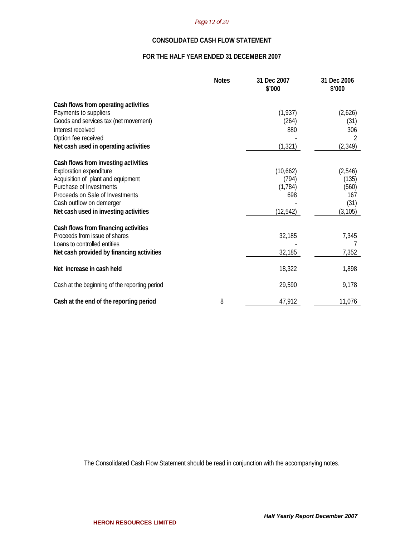#### *Page 12 of 20*

# **CONSOLIDATED CASH FLOW STATEMENT**

# **FOR THE HALF YEAR ENDED 31 DECEMBER 2007**

|                                               | <b>Notes</b> | 31 Dec 2007<br>\$'000 | 31 Dec 2006<br>\$'000 |
|-----------------------------------------------|--------------|-----------------------|-----------------------|
| Cash flows from operating activities          |              |                       |                       |
| Payments to suppliers                         |              | (1, 937)              | (2,626)               |
| Goods and services tax (net movement)         |              | (264)                 | (31)                  |
| Interest received                             |              | 880                   | 306                   |
| Option fee received                           |              |                       | 2                     |
| Net cash used in operating activities         |              | (1, 321)              | (2, 349)              |
| Cash flows from investing activities          |              |                       |                       |
| <b>Exploration expenditure</b>                |              | (10,662)              | (2,546)               |
| Acquisition of plant and equipment            |              | (794)                 | (135)                 |
| Purchase of Investments                       |              | (1, 784)              | (560)                 |
| Proceeds on Sale of Investments               |              | 698                   | 167                   |
| Cash outflow on demerger                      |              |                       | (31)                  |
| Net cash used in investing activities         |              | (12, 542)             | (3, 105)              |
| Cash flows from financing activities          |              |                       |                       |
| Proceeds from issue of shares                 |              | 32,185                | 7,345                 |
| Loans to controlled entities                  |              |                       |                       |
| Net cash provided by financing activities     |              | 32,185                | 7,352                 |
| Net increase in cash held                     |              | 18,322                | 1,898                 |
| Cash at the beginning of the reporting period |              | 29,590                | 9,178                 |
| Cash at the end of the reporting period       | 8            | 47,912                | 11,076                |

The Consolidated Cash Flow Statement should be read in conjunction with the accompanying notes.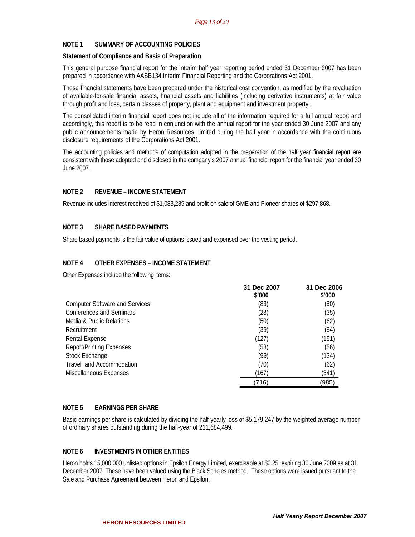# **NOTE 1 SUMMARY OF ACCOUNTING POLICIES**

#### **Statement of Compliance and Basis of Preparation**

This general purpose financial report for the interim half year reporting period ended 31 December 2007 has been prepared in accordance with AASB134 Interim Financial Reporting and the Corporations Act 2001.

These financial statements have been prepared under the historical cost convention, as modified by the revaluation of available-for-sale financial assets, financial assets and liabilities (including derivative instruments) at fair value through profit and loss, certain classes of property, plant and equipment and investment property.

The consolidated interim financial report does not include all of the information required for a full annual report and accordingly, this report is to be read in conjunction with the annual report for the year ended 30 June 2007 and any public announcements made by Heron Resources Limited during the half year in accordance with the continuous disclosure requirements of the Corporations Act 2001.

The accounting policies and methods of computation adopted in the preparation of the half year financial report are consistent with those adopted and disclosed in the company's 2007 annual financial report for the financial year ended 30 June 2007.

# **NOTE 2 REVENUE – INCOME STATEMENT**

Revenue includes interest received of \$1,083,289 and profit on sale of GME and Pioneer shares of \$297,868.

# **NOTE 3 SHARE BASED PAYMENTS**

Share based payments is the fair value of options issued and expensed over the vesting period.

# **NOTE 4 OTHER EXPENSES – INCOME STATEMENT**

Other Expenses include the following items:

|                                       | 31 Dec 2007<br>\$'000 | 31 Dec 2006<br>\$'000 |
|---------------------------------------|-----------------------|-----------------------|
| <b>Computer Software and Services</b> | (83)                  | (50)                  |
| <b>Conferences and Seminars</b>       | (23)                  | (35)                  |
| Media & Public Relations              | (50)                  | (62)                  |
| Recruitment                           | (39)                  | (94)                  |
| <b>Rental Expense</b>                 | (127)                 | (151)                 |
| <b>Report/Printing Expenses</b>       | (58)                  | (56)                  |
| <b>Stock Exchange</b>                 | (99)                  | (134)                 |
| Travel and Accommodation              | (70)                  | (62)                  |
| Miscellaneous Expenses                | (167)                 | (341)                 |
|                                       | (716)                 | (985)                 |

#### **NOTE 5 EARNINGS PER SHARE**

Basic earnings per share is calculated by dividing the half yearly loss of \$5,179,247 by the weighted average number of ordinary shares outstanding during the half-year of 211,684,499.

#### **NOTE 6 INVESTMENTS IN OTHER ENTITIES**

Heron holds 15,000,000 unlisted options in Epsilon Energy Limited, exercisable at \$0.25, expiring 30 June 2009 as at 31 December 2007. These have been valued using the Black Scholes method. These options were issued pursuant to the Sale and Purchase Agreement between Heron and Epsilon.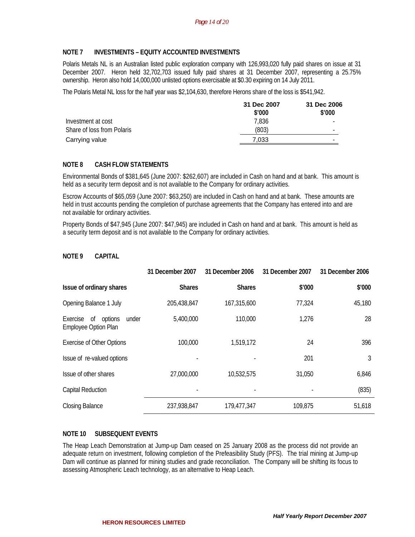# **NOTE 7 INVESTMENTS – EQUITY ACCOUNTED INVESTMENTS**

Polaris Metals NL is an Australian listed public exploration company with 126,993,020 fully paid shares on issue at 31 December 2007. Heron held 32,702,703 issued fully paid shares at 31 December 2007, representing a 25.75% ownership. Heron also hold 14,000,000 unlisted options exercisable at \$0.30 expiring on 14 July 2011.

The Polaris Metal NL loss for the half year was \$2,104,630, therefore Herons share of the loss is \$541,942.

|                            | 31 Dec 2007<br>\$'000 | 31 Dec 2006<br>\$'000    |
|----------------------------|-----------------------|--------------------------|
|                            |                       |                          |
| Investment at cost         | 7.836                 | -                        |
| Share of loss from Polaris | (803)                 |                          |
| Carrying value             | 7.033                 | $\overline{\phantom{0}}$ |

# **NOTE 8 CASH FLOW STATEMENTS**

Environmental Bonds of \$381,645 (June 2007: \$262,607) are included in Cash on hand and at bank. This amount is held as a security term deposit and is not available to the Company for ordinary activities.

Escrow Accounts of \$65,059 (June 2007: \$63,250) are included in Cash on hand and at bank. These amounts are held in trust accounts pending the completion of purchase agreements that the Company has entered into and are not available for ordinary activities.

Property Bonds of \$47,945 (June 2007: \$47,945) are included in Cash on hand and at bank. This amount is held as a security term deposit and is not available to the Company for ordinary activities.

# **NOTE 9 CAPITAL**

|                                                                   | 31 December 2007 | 31 December 2006 | 31 December 2007 | 31 December 2006 |
|-------------------------------------------------------------------|------------------|------------------|------------------|------------------|
| Issue of ordinary shares                                          | <b>Shares</b>    | <b>Shares</b>    | \$'000           | \$'000           |
| Opening Balance 1 July                                            | 205,438,847      | 167,315,600      | 77,324           | 45,180           |
| Exercise<br>of<br>options<br>under<br><b>Employee Option Plan</b> | 5,400,000        | 110,000          | 1,276            | 28               |
| <b>Exercise of Other Options</b>                                  | 100,000          | 1,519,172        | 24               | 396              |
| Issue of re-valued options                                        |                  |                  | 201              | 3                |
| Issue of other shares                                             | 27,000,000       | 10,532,575       | 31,050           | 6,846            |
| <b>Capital Reduction</b>                                          |                  |                  |                  | (835)            |
| <b>Closing Balance</b>                                            | 237,938,847      | 179,477,347      | 109,875          | 51,618           |

# **NOTE 10 SUBSEQUENT EVENTS**

The Heap Leach Demonstration at Jump-up Dam ceased on 25 January 2008 as the process did not provide an adequate return on investment, following completion of the Prefeasibility Study (PFS). The trial mining at Jump-up Dam will continue as planned for mining studies and grade reconciliation. The Company will be shifting its focus to assessing Atmospheric Leach technology, as an alternative to Heap Leach.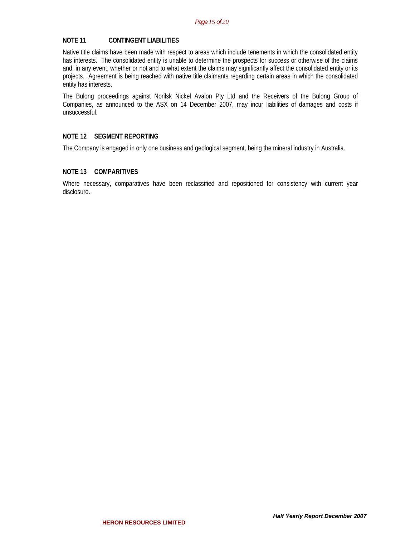#### **NOTE 11 CONTINGENT LIABILITIES**

Native title claims have been made with respect to areas which include tenements in which the consolidated entity has interests. The consolidated entity is unable to determine the prospects for success or otherwise of the claims and, in any event, whether or not and to what extent the claims may significantly affect the consolidated entity or its projects. Agreement is being reached with native title claimants regarding certain areas in which the consolidated entity has interests.

The Bulong proceedings against Norilsk Nickel Avalon Pty Ltd and the Receivers of the Bulong Group of Companies, as announced to the ASX on 14 December 2007, may incur liabilities of damages and costs if unsuccessful.

#### **NOTE 12 SEGMENT REPORTING**

The Company is engaged in only one business and geological segment, being the mineral industry in Australia.

#### **NOTE 13 COMPARITIVES**

Where necessary, comparatives have been reclassified and repositioned for consistency with current year disclosure.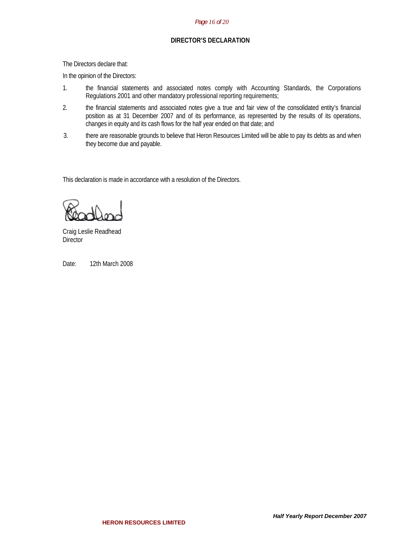#### *Page 16 of 20*

### **DIRECTOR'S DECLARATION**

The Directors declare that:

In the opinion of the Directors:

- 1. the financial statements and associated notes comply with Accounting Standards, the Corporations Regulations 2001 and other mandatory professional reporting requirements;
- 2. the financial statements and associated notes give a true and fair view of the consolidated entity's financial position as at 31 December 2007 and of its performance, as represented by the results of its operations, changes in equity and its cash flows for the half year ended on that date; and
- 3. there are reasonable grounds to believe that Heron Resources Limited will be able to pay its debts as and when they become due and payable.

This declaration is made in accordance with a resolution of the Directors.

Craig Leslie Readhead **Director** 

Date: 12th March 2008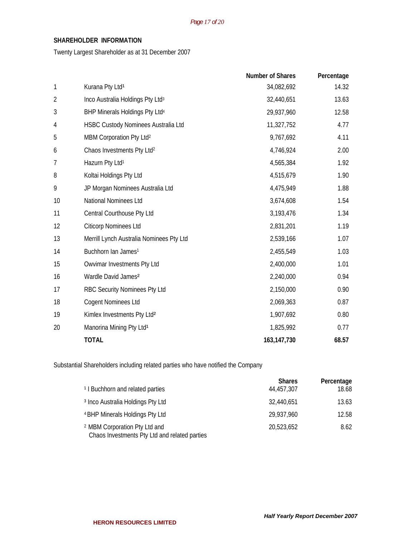# **SHAREHOLDER INFORMATION**

Twenty Largest Shareholder as at 31 December 2007

|                |                                              | <b>Number of Shares</b> | Percentage |
|----------------|----------------------------------------------|-------------------------|------------|
| 1              | Kurana Pty Ltd <sup>1</sup>                  | 34,082,692              | 14.32      |
| $\overline{2}$ | Inco Australia Holdings Pty Ltd <sup>3</sup> | 32,440,651              | 13.63      |
| 3              | BHP Minerals Holdings Pty Ltd <sup>4</sup>   | 29,937,960              | 12.58      |
| 4              | HSBC Custody Nominees Australia Ltd          | 11,327,752              | 4.77       |
| 5              | MBM Corporation Pty Ltd <sup>2</sup>         | 9,767,692               | 4.11       |
| 6              | Chaos Investments Pty Ltd <sup>2</sup>       | 4,746,924               | 2.00       |
| 7              | Hazurn Pty Ltd <sup>1</sup>                  | 4,565,384               | 1.92       |
| 8              | Koltai Holdings Pty Ltd                      | 4,515,679               | 1.90       |
| 9              | JP Morgan Nominees Australia Ltd             | 4,475,949               | 1.88       |
| 10             | National Nominees Ltd                        | 3,674,608               | 1.54       |
| 11             | Central Courthouse Pty Ltd                   | 3,193,476               | 1.34       |
| 12             | <b>Citicorp Nominees Ltd</b>                 | 2,831,201               | 1.19       |
| 13             | Merrill Lynch Australia Nominees Pty Ltd     | 2,539,166               | 1.07       |
| 14             | Buchhorn Ian James <sup>1</sup>              | 2,455,549               | 1.03       |
| 15             | Owvimar Investments Pty Ltd                  | 2,400,000               | 1.01       |
| 16             | Wardle David James <sup>2</sup>              | 2,240,000               | 0.94       |
| 17             | RBC Security Nominees Pty Ltd                | 2,150,000               | 0.90       |
| 18             | <b>Cogent Nominees Ltd</b>                   | 2,069,363               | 0.87       |
| 19             | Kimlex Investments Pty Ltd <sup>2</sup>      | 1,907,692               | 0.80       |
| 20             | Manorina Mining Pty Ltd <sup>1</sup>         | 1,825,992               | 0.77       |
|                | <b>TOTAL</b>                                 | 163, 147, 730           | 68.57      |

Substantial Shareholders including related parties who have notified the Company

|                                                                                           | <b>Shares</b> | Percentage |
|-------------------------------------------------------------------------------------------|---------------|------------|
| <sup>1</sup> I Buchhorn and related parties                                               | 44,457,307    | 18.68      |
| <sup>3</sup> Inco Australia Holdings Pty Ltd                                              | 32,440,651    | 13.63      |
| <sup>4</sup> BHP Minerals Holdings Pty Ltd                                                | 29,937,960    | 12.58      |
| <sup>2</sup> MBM Corporation Pty Ltd and<br>Chaos Investments Pty Ltd and related parties | 20,523,652    | 8.62       |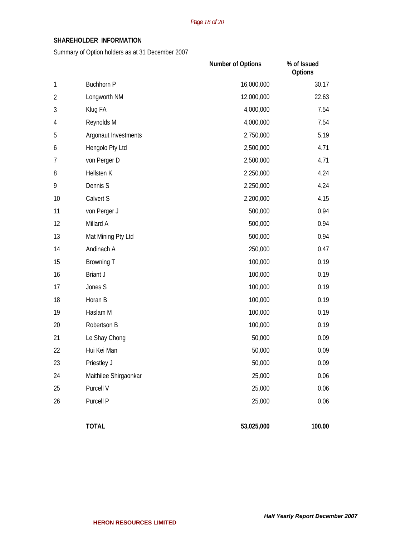# **SHAREHOLDER INFORMATION**

Summary of Option holders as at 31 December 2007

|            |                       | Number of Options | % of Issued<br>Options |
|------------|-----------------------|-------------------|------------------------|
| 1          | <b>Buchhorn P</b>     | 16,000,000        | 30.17                  |
| $\sqrt{2}$ | Longworth NM          | 12,000,000        | 22.63                  |
| 3          | Klug FA               | 4,000,000         | 7.54                   |
| 4          | Reynolds M            | 4,000,000         | 7.54                   |
| 5          | Argonaut Investments  | 2,750,000         | 5.19                   |
| 6          | Hengolo Pty Ltd       | 2,500,000         | 4.71                   |
| 7          | von Perger D          | 2,500,000         | 4.71                   |
| 8          | Hellsten K            | 2,250,000         | 4.24                   |
| 9          | Dennis S              | 2,250,000         | 4.24                   |
| 10         | Calvert S             | 2,200,000         | 4.15                   |
| 11         | von Perger J          | 500,000           | 0.94                   |
| 12         | Millard A             | 500,000           | 0.94                   |
| 13         | Mat Mining Pty Ltd    | 500,000           | 0.94                   |
| 14         | Andinach A            | 250,000           | 0.47                   |
| 15         | <b>Browning T</b>     | 100,000           | 0.19                   |
| 16         | <b>Briant J</b>       | 100,000           | 0.19                   |
| 17         | Jones S               | 100,000           | 0.19                   |
| 18         | Horan B               | 100,000           | 0.19                   |
| 19         | Haslam M              | 100,000           | 0.19                   |
| 20         | Robertson B           | 100,000           | 0.19                   |
| 21         | Le Shay Chong         | 50,000            | 0.09                   |
| 22         | Hui Kei Man           | 50,000            | 0.09                   |
| 23         | Priestley J           | 50,000            | 0.09                   |
| 24         | Maithilee Shirgaonkar | 25,000            | 0.06                   |
| 25         | Purcell V             | 25,000            | 0.06                   |
| 26         | Purcell P             | 25,000            | 0.06                   |
|            | <b>TOTAL</b>          | 53,025,000        | 100.00                 |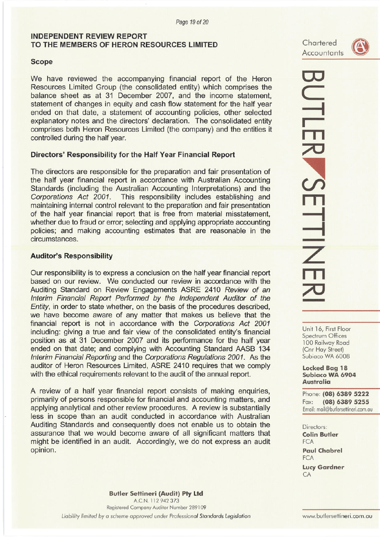# **INDEPENDENT REVIEW REPORT** TO THE MEMBERS OF HERON RESOURCES LIMITED

# **Scope**

We have reviewed the accompanying financial report of the Heron Resources Limited Group (the consolidated entity) which comprises the balance sheet as at 31 December 2007, and the income statement, statement of changes in equity and cash flow statement for the half year ended on that date, a statement of accounting policies, other selected explanatory notes and the directors' declaration. The consolidated entity comprises both Heron Resources Limited (the company) and the entities it controlled during the half year.

# Directors' Responsibility for the Half Year Financial Report

The directors are responsible for the preparation and fair presentation of the half year financial report in accordance with Australian Accounting Standards (including the Australian Accounting Interpretations) and the Corporations Act 2001. This responsibility includes establishing and maintaining internal control relevant to the preparation and fair presentation of the half year financial report that is free from material misstatement, whether due to fraud or error; selecting and applying appropriate accounting policies; and making accounting estimates that are reasonable in the circumstances.

# **Auditor's Responsibility**

Our responsibility is to express a conclusion on the half year financial report based on our review. We conducted our review in accordance with the Auditing Standard on Review Engagements ASRE 2410 Review of an Interim Financial Report Performed by the Independent Auditor of the Entity, in order to state whether, on the basis of the procedures described, we have become aware of any matter that makes us believe that the financial report is not in accordance with the Corporations Act 2001 including: giving a true and fair view of the consolidated entity's financial position as at 31 December 2007 and its performance for the half year ended on that date; and complying with Accounting Standard AASB 134 Interim Financial Reporting and the Corporations Regulations 2001. As the auditor of Heron Resources Limited, ASRE 2410 requires that we comply with the ethical requirements relevant to the audit of the annual report.

A review of a half year financial report consists of making enquiries, primarily of persons responsible for financial and accounting matters, and applying analytical and other review procedures. A review is substantially less in scope than an audit conducted in accordance with Australian Auditing Standards and consequently does not enable us to obtain the assurance that we would become aware of all significant matters that might be identified in an audit. Accordingly, we do not express an audit opinion.



# **UTLER SETTINE**

Unit 16, First Floor Spectrum Offices 100 Railway Road (Cnr Hay Street) Subiaco WA 6008

**Locked Bag 18** Subiaco WA 6904 **Australia** 

Phone: (08) 6389 5222 Fax: (08) 6389 5255 Email: mail@butlersettineri.com.au

Directors: **Colin Butler FCA Paul Chabrel FCA Lucy Gardner** 

CA

**Butler Settineri (Audit) Pty Ltd** A.C.N. 112 942 373 Registered Company Auditor Number 289109 Liability limited by a scheme approved under Professional Standards Legislation